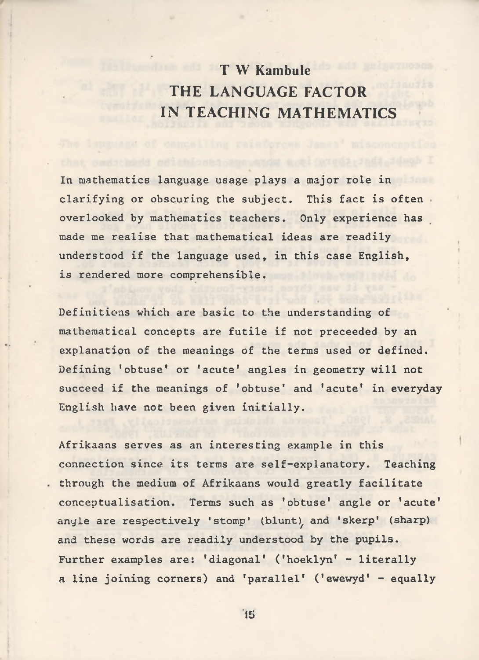**T W Kambule THE LANGUAGE FACTOR IN TEACHING MATHEMATICS**

**In mathematics language usage plays a major role in clarifying or obscuring the subject. This fact is often overlooked by mathematics teachers. Only experience has made me realise that mathematical ideas are readily understood if the language used, in this case English, is rendered more comprehensible.**

**Definitions which are basic to the understanding of mathematical concepts are futile if not preceeded by an explanation of the meanings of the terms used or defined. Defining 'obtuse' or 'acute' angles in geometry will not succeed if the meanings of 'obtuse' and 'acute' in everyday English have not been given initially.**

**Afrikaans serves as an interesting example in this connection since its terms are self-explanatory. Teaching through the medium of Afrikaans would greatly facilitate conceptualisation. Terms such as 'obtuse' angle or 'acute'** angle are respectively 'stomp' (blunt), and 'skerp' (sharp) **and these words are readily understood by the pupils. Further examples are: 'diagonal' ('hoeklyn' - literally a line joining corners) and 'parallel' ('ewewyd' - equally**

15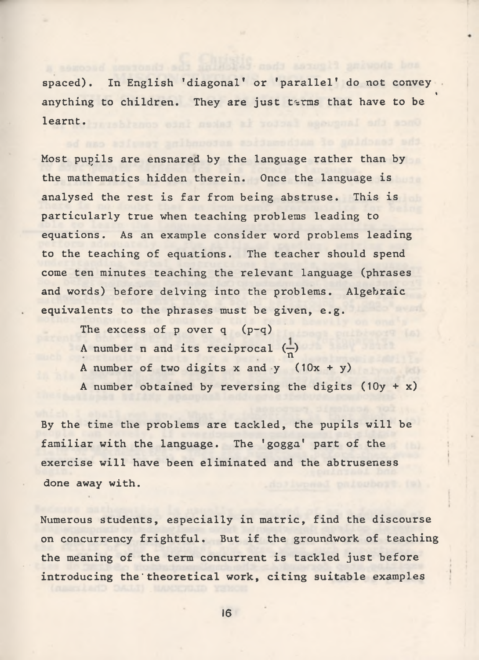**spaced). In English 'diagonal' or 'parallel' do not convey** « **anything to children. They are just t^rms that have to be learnt.**

**Most pupils are ensnared by the language rather than by the mathematics hidden therein. Once the language is analysed the rest is far from being abstruse. This is particularly true when teaching problems leading to equations. As an example consider word problems leading to the teaching of equations. The teacher should spend come ten minutes teaching the relevant language (phrases and words) before delving into the problems. Algebraic equivalents to the phrases must be given, e.g.**

**The excess of p over q (p-q)** A number **n** and its reciprocal  $\left(\frac{1}{n}\right)$ **A number of two digits x and y (10x + y) A number obtained by reversing the digits (10y + x)**

**By the time the problems are tackled, the pupils will be familiar with the language. The 'gogga' part of the exercise will have been eliminated and the abtruseness done away with.**

**Numerous students, especially in matric, find the discourse on concurrency frightful. But if the groundwork of teaching the meaning of the term concurrent is tackled just before introducing the'theoretical work, citing suitable examples**

**16**